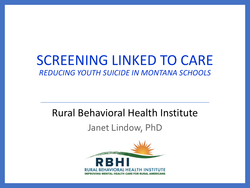### SCREENING LINKED TO CARE *REDUCING YOUTH SUICIDE IN MONTANA SCHOOLS*

### Rural Behavioral Health Institute

#### Janet Lindow, PhD

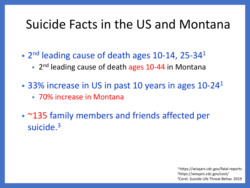### Suicide Facts in the US and Montana

- $2<sup>nd</sup>$  leading cause of death ages 10-14, 25-34<sup>1</sup>
	- 2<sup>nd</sup> leading cause of death ages 10-44 in Montana
- 33% increase in US in past 10 years in ages  $10-24<sup>1</sup>$ 
	- 70% increase in Montana
- ~135 family members and friends affected per suicide.<sup>3</sup>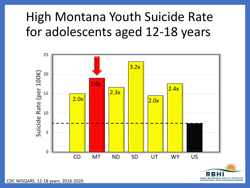### High Montana Youth Suicide Rate for adolescents aged 12-18 years





CDC WISQARS. 12-18 years. 2016-2020.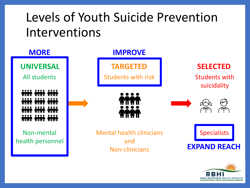### Levels of Youth Suicide Prevention Interventions



**RURAL REHAVIORAL HEALTH INSTITUTE** IMPROVING MENTAL HEALTH CARE FOR RURAL AMERICAN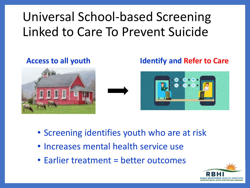# Universal School-based Screening Linked to Care To Prevent Suicide





#### **Access to all youth Identify and Refer to Care**



- Screening identifies youth who are at risk
- Increases mental health service use
- Earlier treatment = better outcomes

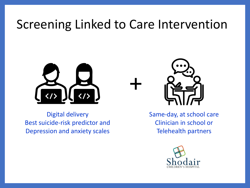### Screening Linked to Care Intervention

+



Digital delivery Best suicide-risk predictor and Depression and anxiety scales



Same-day, at school care Clinician in school or Telehealth partners

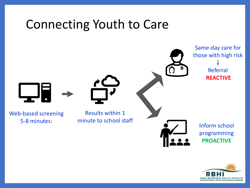### Connecting Youth to Care Results within 1 minute to school staff Web-based screening 5-8 minutes: Inform school programming **PROACTIVE** Same-day care for those with high risk Referral **REACTIVE**

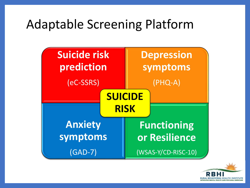### Adaptable Screening Platform



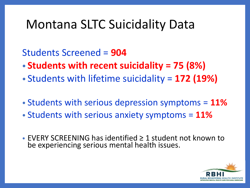### Montana SLTC Suicidality Data

Students Screened = **904**

- **Students with recent suicidality = 75 (8%)**
- Students with lifetime suicidality = **172 (19%)**
- Students with serious depression symptoms = **11%**
- Students with serious anxiety symptoms = **11%**
- EVERY SCREENING has identified ≥ 1 student not known to be experiencing serious mental health issues.

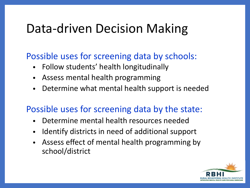### Data-driven Decision Making

#### Possible uses for screening data by schools:

- Follow students' health longitudinally
- Assess mental health programming
- Determine what mental health support is needed

#### Possible uses for screening data by the state:

- Determine mental health resources needed
- Identify districts in need of additional support
- Assess effect of mental health programming by school/district

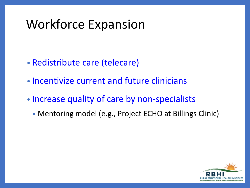### Workforce Expansion

- Redistribute care (telecare)
- Incentivize current and future clinicians
- Increase quality of care by non-specialists
	- Mentoring model (e.g., Project ECHO at Billings Clinic)

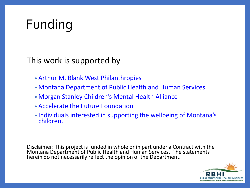# Funding

This work is supported by

- Arthur M. Blank West Philanthropies
- Montana Department of Public Health and Human Services
- Morgan Stanley Children's Mental Health Alliance
- Accelerate the Future Foundation
- Individuals interested in supporting the wellbeing of Montana's children.

Disclaimer: This project is funded in whole or in part under a Contract with the Montana Department of Public Health and Human Services. The statements herein do not necessarily reflect the opinion of the Department.

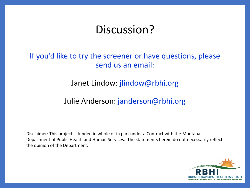### Discussion?

#### If you'd like to try the screener or have questions, please send us an email:

#### Janet Lindow: jlindow@rbhi.org

#### Julie Anderson: janderson@rbhi.org

Disclaimer: This project is funded in whole or in part under a Contract with the Montana Department of Public Health and Human Services. The statements herein do not necessarily reflect the opinion of the Department.

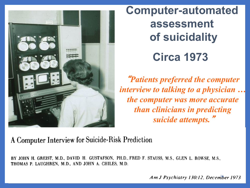

**Computer-automated assessment of suicidality Circa 1973**

"*Patients preferred the computer interview to talking to a physician … the computer was more accurate than clinicians in predicting suicide attempts.*"

#### A Computer Interview for Suicide-Risk Prediction

BY JOHN H. GREIST, M.D., DAVID H. GUSTAFSON, PH.D., FRED F. STAUSS, M.S., GLEN L. ROWSE, M.S., THOMAS P. LAUGHREN, M.D., AND JOHN A. CHILES, M.D.

Am J Psychiatry 130:12. December 1973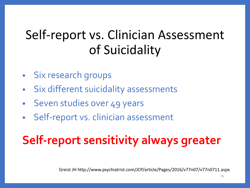### Self-report vs. Clinician Assessment of Suicidality

- Six research groups
- Six different suicidality assessments
- Seven studies over 49 years
- Self-report vs. clinician assessment

# **Self-report sensitivity always greater**

Greist JH http://www.psychiatrist.com/JCP/article/Pages/2016/v77n07/v77n0711.aspx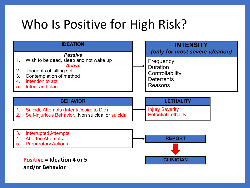### Who Is Positive for High Risk?

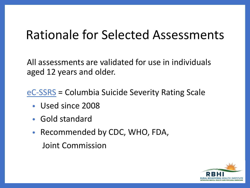### Rationale for Selected Assessments

All assessments are validated for use in individuals aged 12 years and older.

eC-SSRS = Columbia Suicide Severity Rating Scale

- Used since 2008
- Gold standard
- Recommended by CDC, WHO, FDA, Joint Commission

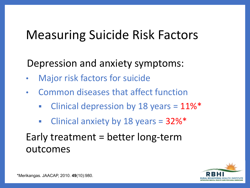### Measuring Suicide Risk Factors

Depression and anxiety symptoms:

- Major risk factors for suicide
- Common diseases that affect function
	- Clinical depression by 18 years =  $11\%$ \*
	- Clinical anxiety by 18 years =  $32\%$ \*

### Early treatment = better long-term outcomes

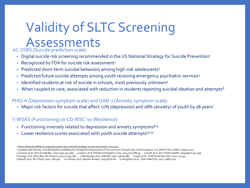### Validity of SLTC Screening Assessments

eC-SSRS (Suicide prediction scale)

- Digital suicide risk screening recommended in the US National Strategy for Suicide Prevention<sup>1</sup>
- Recognized by FDA for suicide risk assessment<sup>2</sup>
- Predicted short-term suicidal behaviors among high-risk adolescents<sup>3</sup>
- Predicted future suicide attempts among youth receiving emergency psychiatric services<sup>4</sup>
- Identified students at risk of suicide in schools, most previously unknown<sup>5</sup>
- When coupled to care, associated with reduction in students reporting suicidal ideation and attempts<sup>6</sup>

#### PHQ-A (Depression symptom scale) and GAD-7 (Anxiety symptom scale)

• Major risk factors for suicide that affect 11% (depression) and 18% (anxiety) of youth by 18 years<sup>7</sup>

#### Y-WSAS (Functioning) or CD-RISC-10 (Resilience)

- Functioning inversely related to depression and anxiety symptoms $8,9$
- Lower resilience scores associated with youth suicide attempts<sup>10,11</sup>

*<sup>1</sup>* <https://theactionalliance.org/resource/revised-national-strategy-suicide-prevention-20122012>

<sup>2</sup> Guidance for Industry: Suicidal Ideation and Behavior: Prospective Assessment of Occurrence in Clinical Trials. Draft Guidance. U.S. DHHS, FDA, CDER. August 2012.

<sup>3</sup> Conway, et al. Arch Suicide Res. 2017;21(3):455-469. ∙ 4 Gipson, et al. Pediatric Emergency Care. 2014;31(2):88-93. ∙ 5 Scott, et al. Am J Public Health. 2009;99(2):334-339. 6 Arango, et al. Annu Rev Clin Psychol. 2021;17:259-284 . ∙ 7 Merikangas, et al. JAACAP, 2010. 49(10):980. ∙ 8 Jassi, et al., Child Psy & Hum Dev, 2020. 51:453. 9 Mundt, et al., Br J Psych, 2002. 180:461. ∙ 10 Connor, et al. Depress Anxiety. 2003;18:76-82 . ∙ 11 Nrugham, et al., J Nerv Ment Dis, 2010. 198(2):131.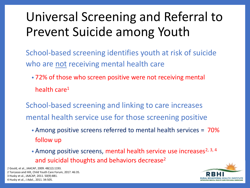# Universal Screening and Referral to Prevent Suicide among Youth

- School-based screening identifies youth at risk of suicide who are not receiving mental health care
	- 72% of those who screen positive were not receiving mental health care<sup>1</sup>
- School-based screening and linking to care increases mental health service use for those screening positive
	- Among positive screens referred to mental health services =  $70\%$ follow up
	- Among positive screens, mental health service use increases<sup>2, 3, 4</sup> and suicidal thoughts and behaviors decrease<sup>2</sup>

*1* Gould, et al., JAACAP, 2009. 48(12):1193. 2 Torcasso and Hilt, Child Youth Care Forum, 2017. 46:35. 3 Husky et al., JAACAP, 2011. 50(9):881. 4 Husky et al., J Adol., 2011. 34:505.

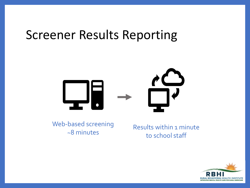### Screener Results Reporting



Web-based screening ~8 minutes

Results within 1 minute to school staff

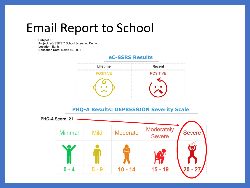### Email Report to School

Subject ID: Project: eC-SSRS™ School Screening Demo **Location: Earth** Collection Date: March 16, 2021

#### **eC-SSRS Results**



**PHQ-A Results: DEPRESSION Severity Scale** 

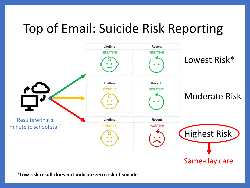### Top of Email: Suicide Risk Reporting



**\*Low risk result does not indicate zero risk of suicide**